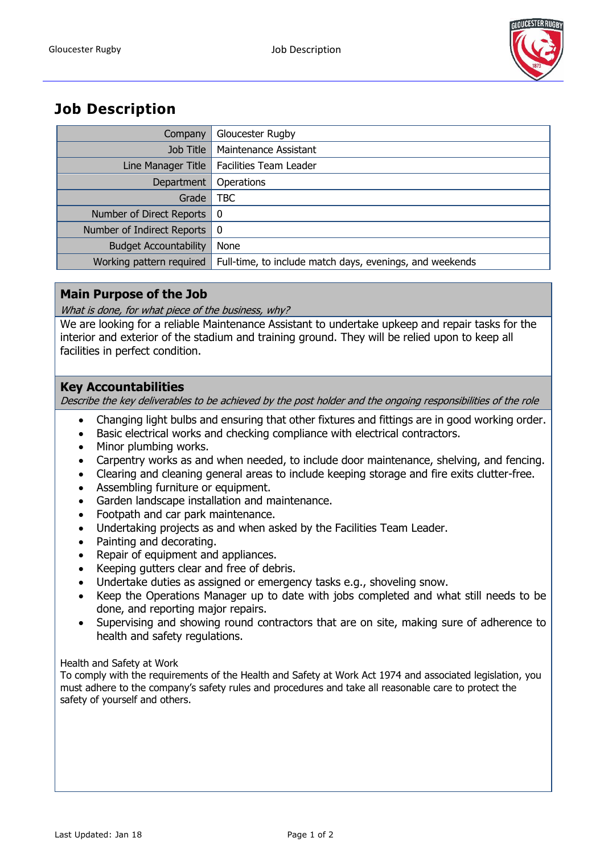

# **Job Description**

| Company                      | Gloucester Rugby                                         |
|------------------------------|----------------------------------------------------------|
| Job Title                    | Maintenance Assistant                                    |
| Line Manager Title           | <b>Facilities Team Leader</b>                            |
| Department                   | Operations                                               |
| Grade                        | <b>TBC</b>                                               |
| Number of Direct Reports     | - 0                                                      |
| Number of Indirect Reports   | - 0                                                      |
| <b>Budget Accountability</b> | None                                                     |
| Working pattern required     | Full-time, to include match days, evenings, and weekends |

## **Main Purpose of the Job**

What is done, for what piece of the business, why?

We are looking for a reliable Maintenance Assistant to undertake upkeep and repair tasks for the interior and exterior of the stadium and training ground. They will be relied upon to keep all facilities in perfect condition.

## **Key Accountabilities**

Describe the key deliverables to be achieved by the post holder and the ongoing responsibilities of the role

- Changing light bulbs and ensuring that other fixtures and fittings are in good working order.
- Basic electrical works and checking compliance with electrical contractors.
- Minor plumbing works.
- Carpentry works as and when needed, to include door maintenance, shelving, and fencing.
- Clearing and cleaning general areas to include keeping storage and fire exits clutter-free.
- Assembling furniture or equipment.
- Garden landscape installation and maintenance.
- Footpath and car park maintenance.
- Undertaking projects as and when asked by the Facilities Team Leader.
- Painting and decorating.
- Repair of equipment and appliances.
- Keeping gutters clear and free of debris.
- Undertake duties as assigned or emergency tasks e.g., shoveling snow.
- Keep the Operations Manager up to date with jobs completed and what still needs to be done, and reporting major repairs.
- Supervising and showing round contractors that are on site, making sure of adherence to health and safety regulations.

#### Health and Safety at Work

To comply with the requirements of the Health and Safety at Work Act 1974 and associated legislation, you must adhere to the company's safety rules and procedures and take all reasonable care to protect the safety of yourself and others.